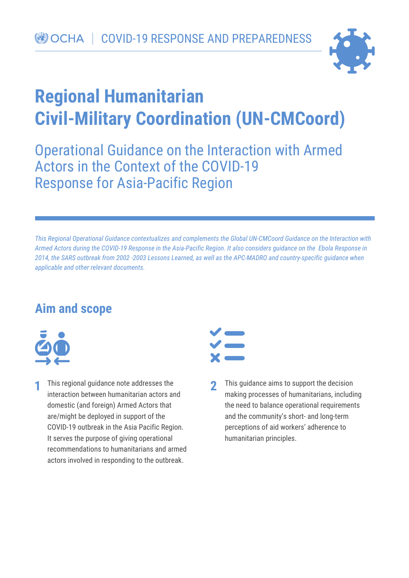

# **Regional Humanitarian Civil-Military Coordination (UN-CMCoord)**

Operational Guidance on the Interaction with Armed Actors in the Context of the COVID-19 Response for Asia-Pacific Region

*This Regional Operational Guidance contextualizes and complements the Global UN-CMCoord Guidance on the Interaction with Armed Actors during the COVID-19 Response in the Asia-Pacific Region. It also considers guidance on the Ebola Response in 2014, the SARS outbreak from 2002 -2003 Lessons Learned, as well as the APC-MADRO and country-specific guidance when applicable and other relevant documents.* 

## **Aim and scope**



This regional guidance note addresses the **1 2**interaction between humanitarian actors and domestic (and foreign) Armed Actors that are/might be deployed in support of the COVID-19 outbreak in the Asia Pacific Region. It serves the purpose of giving operational recommendations to humanitarians and armed actors involved in responding to the outbreak.



This guidance aims to support the decision making processes of humanitarians, including the need to balance operational requirements and the community's short- and long-term perceptions of aid workers' adherence to humanitarian principles.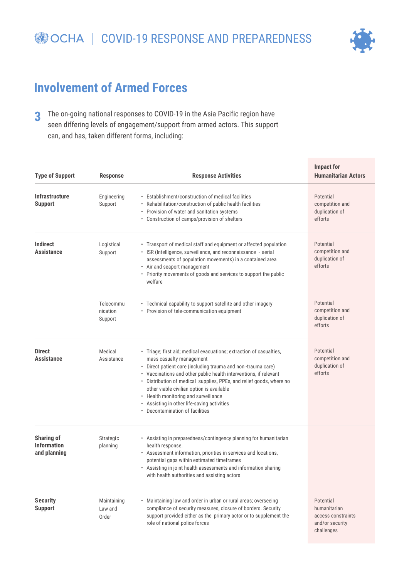

# **Involvement of Armed Forces**

The on-going national responses to COVID-19 in the Asia Pacific region have seen differing levels of engagement/support from armed actors. This support can, and has, taken different forms, including: **3**

| <b>Type of Support</b>                                  | <b>Response</b>                  | <b>Response Activities</b>                                                                                                                                                                                                                                                                                                                                                                                                                                                          | <b>Impact for</b><br><b>Humanitarian Actors</b>                                  |
|---------------------------------------------------------|----------------------------------|-------------------------------------------------------------------------------------------------------------------------------------------------------------------------------------------------------------------------------------------------------------------------------------------------------------------------------------------------------------------------------------------------------------------------------------------------------------------------------------|----------------------------------------------------------------------------------|
| <b>Infrastructure</b><br><b>Support</b>                 | Engineering<br>Support           | • Establishment/construction of medical facilities<br>Rehabilitation/construction of public health facilities<br>• Provision of water and sanitation systems<br>• Construction of camps/provision of shelters                                                                                                                                                                                                                                                                       | Potential<br>competition and<br>duplication of<br>efforts                        |
| <b>Indirect</b><br><b>Assistance</b>                    | Logistical<br>Support            | • Transport of medical staff and equipment or affected population<br>· ISR (Intelligence, surveillance, and reconnaissance - aerial<br>assessments of population movements) in a contained area<br>• Air and seaport management<br>• Priority movements of goods and services to support the public<br>welfare                                                                                                                                                                      | Potential<br>competition and<br>duplication of<br>efforts                        |
|                                                         | Telecommu<br>nication<br>Support | • Technical capability to support satellite and other imagery<br>• Provision of tele-communication equipment                                                                                                                                                                                                                                                                                                                                                                        | Potential<br>competition and<br>duplication of<br>efforts                        |
| <b>Direct</b><br><b>Assistance</b>                      | Medical<br>Assistance            | • Triage; first aid; medical evacuations; extraction of casualties,<br>mass casualty management<br>• Direct patient care (including trauma and non-trauma care)<br>• Vaccinations and other public health interventions, if relevant<br>· Distribution of medical supplies, PPEs, and relief goods, where no<br>other viable civilian option is available<br>• Health monitoring and surveillance<br>• Assisting in other life-saving activities<br>• Decontamination of facilities | Potential<br>competition and<br>duplication of<br>efforts                        |
| <b>Sharing of</b><br><b>Information</b><br>and planning | Strategic<br>planning            | • Assisting in preparedness/contingency planning for humanitarian<br>health response.<br>• Assessment information, priorities in services and locations,<br>potential gaps within estimated timeframes<br>• Assisting in joint health assessments and information sharing<br>with health authorities and assisting actors                                                                                                                                                           |                                                                                  |
| <b>Security</b><br><b>Support</b>                       | Maintaining<br>Law and<br>Order  | • Maintaining law and order in urban or rural areas; overseeing<br>compliance of security measures, closure of borders. Security<br>support provided either as the primary actor or to supplement the<br>role of national police forces                                                                                                                                                                                                                                             | Potential<br>humanitarian<br>access constraints<br>and/or security<br>challenges |